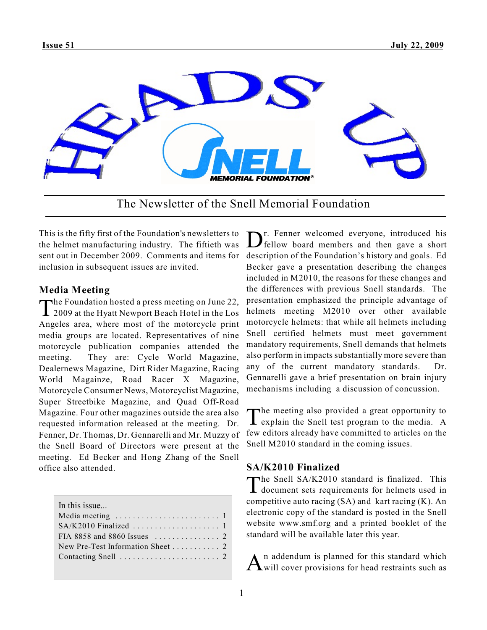

The Newsletter of the Snell Memorial Foundation

This is the fifty first of the Foundation's newsletters to the helmet manufacturing industry. The fiftieth was sent out in December 2009. Comments and items for description of the Foundation's history and goals. Ed inclusion in subsequent issues are invited.

# **Media Meeting**

The Foundation hosted a press meeting on June 22,<br>2009 at the Hyatt Newport Beach Hotel in the Los he Foundation hosted a press meeting on June 22, Angeles area, where most of the motorcycle print media groups are located. Representatives of nine motorcycle publication companies attended the meeting. They are: Cycle World Magazine, Dealernews Magazine, Dirt Rider Magazine, Racing World Magainze, Road Racer X Magazine, Motorcycle Consumer News, Motorcyclist Magazine, Super Streetbike Magazine, and Quad Off-Road Magazine. Four other magazines outside the area also requested information released at the meeting. Dr. Fenner, Dr. Thomas, Dr. Gennarelli and Mr. Muzzy of the Snell Board of Directors were present at the meeting. Ed Becker and Hong Zhang of the Snell office also attended.

| In this issue                                            |
|----------------------------------------------------------|
|                                                          |
|                                                          |
| FIA 8858 and 8860 Issues $\ldots \ldots \ldots \ldots$ 2 |
|                                                          |
|                                                          |
|                                                          |

Dr. Fenner welcomed everyone, introduced his<br>fellow board members and then gave a short r. Fenner welcomed everyone, introduced his Becker gave a presentation describing the changes included in M2010, the reasons for these changes and the differences with previous Snell standards. The presentation emphasized the principle advantage of helmets meeting M2010 over other available motorcycle helmets: that while all helmets including Snell certified helmets must meet government mandatory requirements, Snell demands that helmets also perform in impacts substantially more severe than any of the current mandatory standards. Dr. Gennarelli gave a brief presentation on brain injury mechanisms including a discussion of concussion.

The meeting also provided a great opportunity to explain the Snell test program to the media. A he meeting also provided a great opportunity to few editors already have committed to articles on the Snell M2010 standard in the coming issues.

# **SA/K2010 Finalized**

The Snell SA/K2010 standard is finalized. This<br>document sets requirements for helmets used in he Snell SA/K2010 standard is finalized. This competitive auto racing  $(SA)$  and kart racing  $(K)$ . An electronic copy of the standard is posted in the Snell website www.smf.org and a printed booklet of the standard will be available later this year.

 $A<sup>n</sup>$  addendum is planned for this standard which will cover provisions for head restraints such as n addendum is planned for this standard which